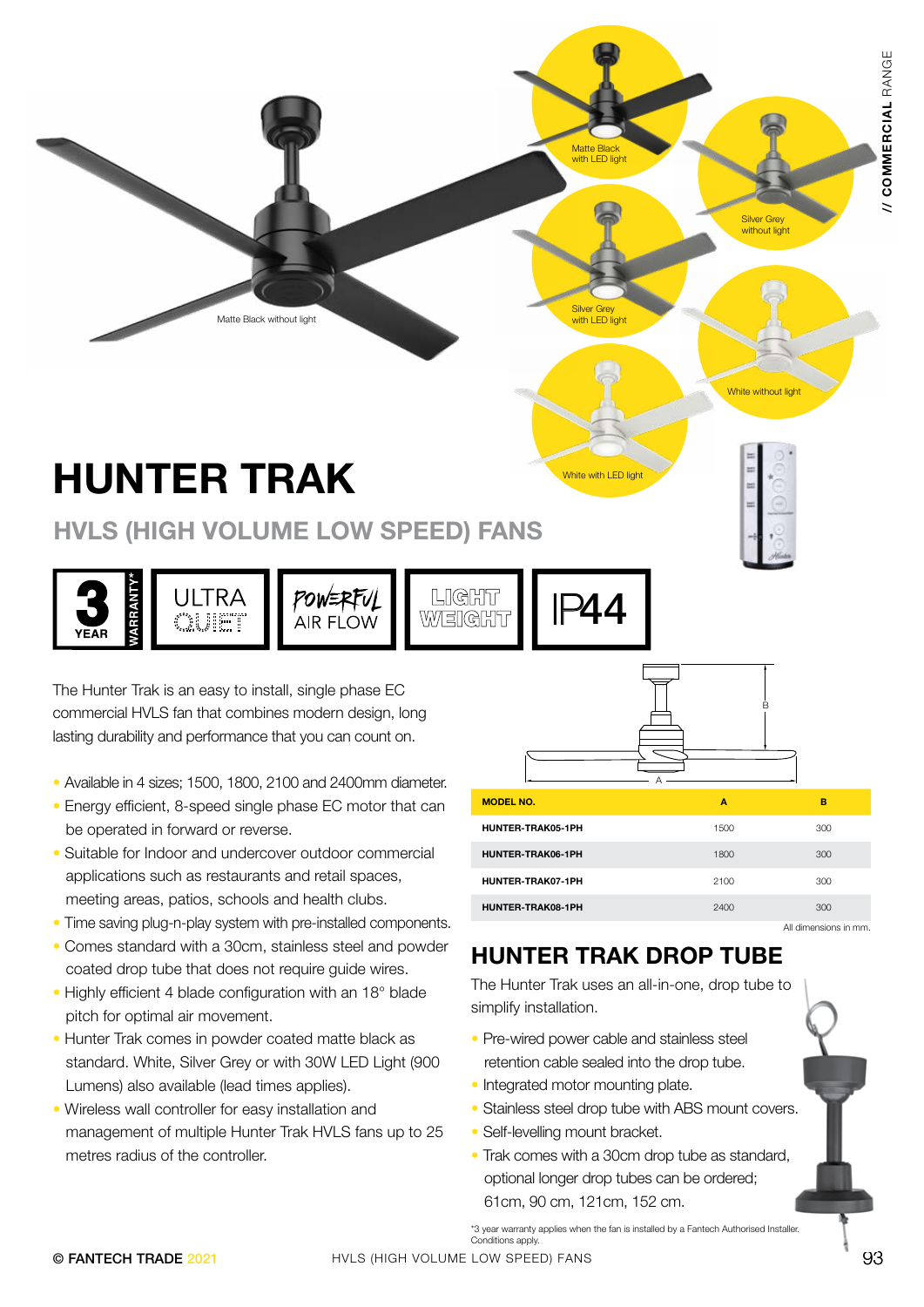# HUNTER TRAK

#### HVLS (HIGH VOLUME LOW SPEED) FANS



- Available in 4 sizes; 1500, 1800, 2100 and 2400mm diameter.
- Energy efficient, 8-speed single phase EC motor that can be operated in forward or reverse.
- Suitable for Indoor and undercover outdoor commercial applications such as restaurants and retail spaces, meeting areas, patios, schools and health clubs.
- Time saving plug-n-play system with pre-installed components.
- Comes standard with a 30cm, stainless steel and powder coated drop tube that does not require guide wires.
- Highly efficient 4 blade configuration with an 18° blade pitch for optimal air movement.
- Hunter Trak comes in powder coated matte black as standard. White, Silver Grey or with 30W LED Light (900 Lumens) also available (lead times applies).
- Wireless wall controller for easy installation and management of multiple Hunter Trak HVLS fans up to 25 metres radius of the controller.

| Matte Black without light                                                                                                                                                                                                                                                                                                                                                                                                                                                                                                        |                             | <b>Matte Black</b><br>with LED light<br><b>Silver Grey</b><br>with LED light                                                                                                                                                                                                                                                                                                                                                                                           |                      | <b>Silver Grey</b><br>without light |                      | RANGE<br>// COMMERCIAL |
|----------------------------------------------------------------------------------------------------------------------------------------------------------------------------------------------------------------------------------------------------------------------------------------------------------------------------------------------------------------------------------------------------------------------------------------------------------------------------------------------------------------------------------|-----------------------------|------------------------------------------------------------------------------------------------------------------------------------------------------------------------------------------------------------------------------------------------------------------------------------------------------------------------------------------------------------------------------------------------------------------------------------------------------------------------|----------------------|-------------------------------------|----------------------|------------------------|
| <b>HUNTER TRAK</b><br><b>HVLS (HIGH VOLUME LOW SPEED) FANS</b>                                                                                                                                                                                                                                                                                                                                                                                                                                                                   |                             |                                                                                                                                                                                                                                                                                                                                                                                                                                                                        | White with LED light | White without light                 |                      |                        |
| <b>ARRANT</b><br><b>ULTRA</b><br>œuet<br>YEAR<br>The Hunter Trak is an easy to install, single phase EC<br>commercial HVLS fan that combines modern design, long<br>lasting durability and performance that you can count on.                                                                                                                                                                                                                                                                                                    | POWERFUL<br><b>AIR FLOW</b> | LIGHT<br>244<br>WEIGHT                                                                                                                                                                                                                                                                                                                                                                                                                                                 |                      |                                     |                      |                        |
| Available in 4 sizes; 1500, 1800, 2100 and 2400mm diameter.                                                                                                                                                                                                                                                                                                                                                                                                                                                                      |                             | <b>MODEL NO.</b>                                                                                                                                                                                                                                                                                                                                                                                                                                                       |                      | A                                   | в                    |                        |
| Energy efficient, 8-speed single phase EC motor that can<br>be operated in forward or reverse.                                                                                                                                                                                                                                                                                                                                                                                                                                   |                             | HUNTER-TRAK05-1PH                                                                                                                                                                                                                                                                                                                                                                                                                                                      |                      | 1500                                | 300                  |                        |
| Suitable for Indoor and undercover outdoor commercial                                                                                                                                                                                                                                                                                                                                                                                                                                                                            |                             | HUNTER-TRAK06-1PH                                                                                                                                                                                                                                                                                                                                                                                                                                                      |                      | 1800                                | 300                  |                        |
| applications such as restaurants and retail spaces,                                                                                                                                                                                                                                                                                                                                                                                                                                                                              |                             | HUNTER-TRAK07-1PH                                                                                                                                                                                                                                                                                                                                                                                                                                                      |                      | 2100                                | 300                  |                        |
| meeting areas, patios, schools and health clubs.                                                                                                                                                                                                                                                                                                                                                                                                                                                                                 |                             | HUNTER-TRAK08-1PH                                                                                                                                                                                                                                                                                                                                                                                                                                                      |                      | 2400                                | 300                  |                        |
| Time saving plug-n-play system with pre-installed components.                                                                                                                                                                                                                                                                                                                                                                                                                                                                    |                             |                                                                                                                                                                                                                                                                                                                                                                                                                                                                        |                      |                                     | All dimensions in mm |                        |
| Comes standard with a 30cm, stainless steel and powder<br>coated drop tube that does not require guide wires.<br>Highly efficient 4 blade configuration with an 18° blade<br>pitch for optimal air movement.<br>Hunter Trak comes in powder coated matte black as<br>standard. White, Silver Grey or with 30W LED Light (900)<br>Lumens) also available (lead times applies).<br>Wireless wall controller for easy installation and<br>management of multiple Hunter Trak HVLS fans up to 25<br>metres radius of the controller. |                             | <b>HUNTER TRAK DROP TUBE</b><br>The Hunter Trak uses an all-in-one, drop tube to<br>simplify installation.<br>• Pre-wired power cable and stainless steel<br>retention cable sealed into the drop tube.<br>• Integrated motor mounting plate.<br>• Stainless steel drop tube with ABS mount covers.<br>• Self-levelling mount bracket.<br>• Trak comes with a 30cm drop tube as standard,<br>optional longer drop tubes can be ordered;<br>61cm, 90 cm, 121cm, 152 cm. |                      |                                     |                      |                        |
| © FANTECH TRADE 2021                                                                                                                                                                                                                                                                                                                                                                                                                                                                                                             |                             | *3 year warranty applies when the fan is installed by a Fantech Authorised Installer.<br>Conditions apply.<br>HVLS (HIGH VOLUME LOW SPEED) FANS                                                                                                                                                                                                                                                                                                                        |                      |                                     | 93                   |                        |
|                                                                                                                                                                                                                                                                                                                                                                                                                                                                                                                                  |                             |                                                                                                                                                                                                                                                                                                                                                                                                                                                                        |                      |                                     |                      |                        |

#### HUNTER TRAK DROP TUBE

- Pre-wired power cable and stainless steel retention cable sealed into the drop tube.
- Integrated motor mounting plate.

- Stainless steel drop tube with ABS mount covers.
- Self-levelling mount bracket.
- Trak comes with a 30cm drop tube as standard. optional longer drop tubes can be ordered; 61cm, 90 cm, 121cm, 152 cm.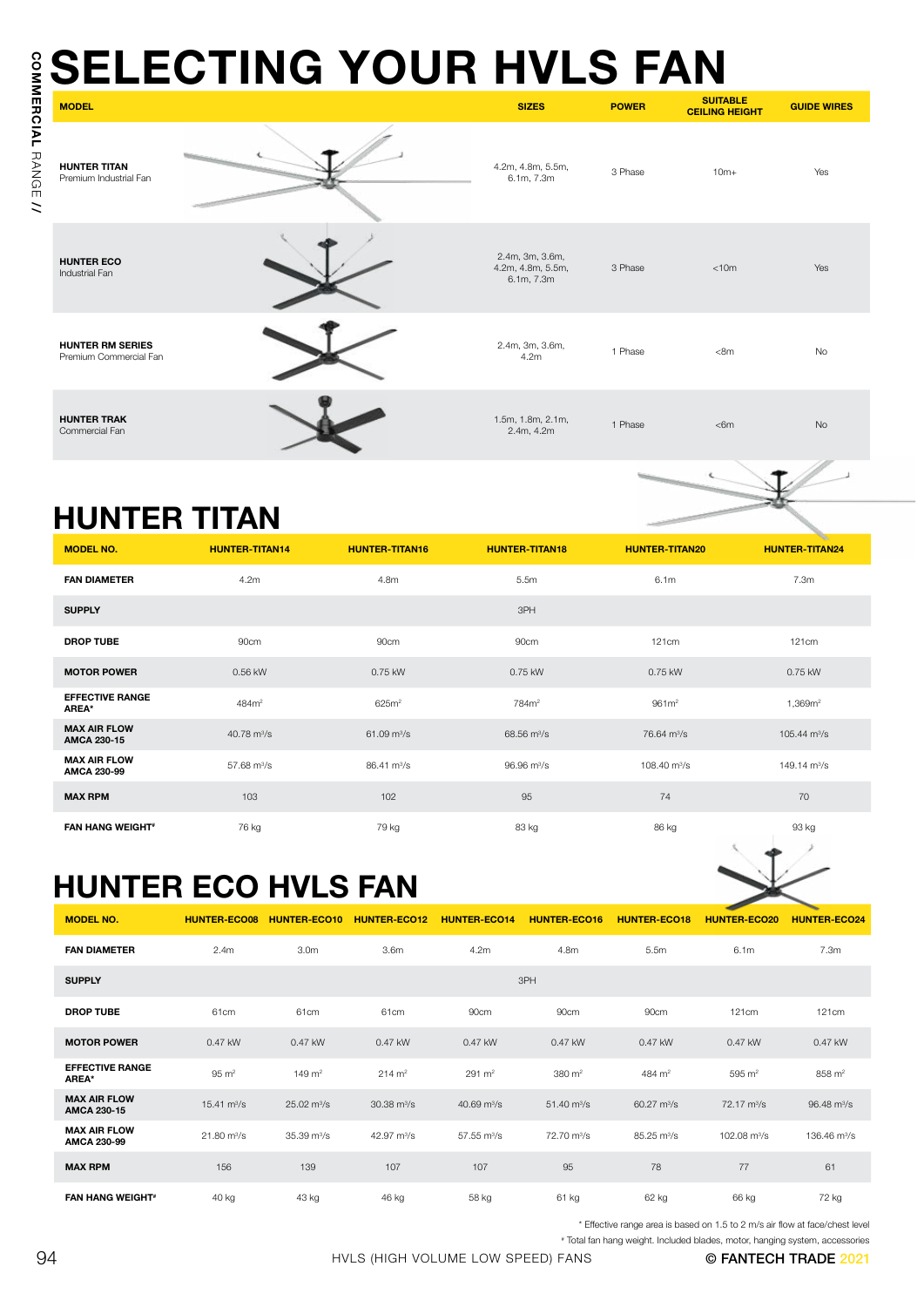| <b>MODEL</b>                                      |                              |                              |                                                           | <b>SELECTING YOUR HVLS FAN</b> | <b>SIZES</b>                                       | <b>POWER</b>                 | <b>SUITABLE</b><br><b>CEILING HEIGHT</b> | <b>GUIDE WIRES</b>                                             |
|---------------------------------------------------|------------------------------|------------------------------|-----------------------------------------------------------|--------------------------------|----------------------------------------------------|------------------------------|------------------------------------------|----------------------------------------------------------------|
| <b>HUNTER TITAN</b><br>Premium Industrial Fan     |                              |                              |                                                           |                                | 4.2m, 4.8m, 5.5m,<br>6.1m, 7.3m                    | 3 Phase                      | $10m+$                                   | Yes                                                            |
| <b>HUNTER ECO</b><br>Industrial Fan               |                              |                              |                                                           |                                | 2.4m, 3m, 3.6m,<br>4.2m, 4.8m, 5.5m,<br>6.1m, 7.3m | 3 Phase                      | < 10m                                    | Yes                                                            |
| <b>HUNTER RM SERIES</b><br>Premium Commercial Fan |                              |                              |                                                           |                                | 2.4m, 3m, 3.6m,<br>4.2m                            | 1 Phase                      | < 8m                                     | No                                                             |
| <b>HUNTER TRAK</b><br>Commercial Fan              |                              |                              |                                                           |                                | 1.5m, 1.8m, 2.1m,<br>2.4m, 4.2m                    | 1 Phase                      | $<$ 6m                                   | <b>No</b>                                                      |
| <b>HUNTER TITAN</b>                               |                              |                              |                                                           |                                |                                                    |                              |                                          |                                                                |
| <b>MODEL NO.</b>                                  | <b>HUNTER-TITAN14</b>        |                              | <b>HUNTER-TITAN16</b>                                     |                                | <b>HUNTER-TITAN18</b>                              | <b>HUNTER-TITAN20</b>        |                                          | <b>HUNTER-TITAN24</b>                                          |
| <b>FAN DIAMETER</b>                               | 4.2m                         |                              | 4.8m                                                      |                                | 5.5m                                               | 6.1m                         |                                          | 7.3m                                                           |
| <b>SUPPLY</b>                                     |                              |                              |                                                           |                                | 3PH                                                |                              |                                          |                                                                |
| <b>DROP TUBE</b>                                  | 90cm                         |                              | 90cm                                                      |                                | 90cm                                               | 121cm                        |                                          | 121cm                                                          |
| <b>MOTOR POWER</b>                                | 0.56 kW                      |                              | 0.75 kW                                                   |                                | 0.75 kW                                            | 0.75 kW                      |                                          | 0.75 kW                                                        |
| <b>EFFECTIVE RANGE</b><br>AREA*                   | 484m <sup>2</sup>            |                              | 625m <sup>2</sup>                                         |                                | 784m <sup>2</sup>                                  | 961 <sup>2</sup>             |                                          | 1,369m <sup>2</sup>                                            |
|                                                   |                              |                              | $61.09$ m <sup>3</sup> /s<br>$68.56 \text{ m}^3/\text{s}$ |                                | 76.64 m <sup>3</sup> /s                            |                              |                                          |                                                                |
| <b>MAX AIR FLOW</b><br>AMCA 230-15                | 40.78 $m^3/s$                |                              |                                                           |                                |                                                    |                              |                                          | $105.44 \text{ m}^3\text{/s}$                                  |
| <b>MAX AIR FLOW</b><br>AMCA 230-99                | 57.68 $m^3/s$                |                              | $86.41 \text{ m}^3/\text{s}$                              |                                | $96.96 \text{ m}^3/\text{s}$                       | 108.40 $m^3/s$               |                                          | 149.14 $m^3/s$                                                 |
| <b>MAX RPM</b>                                    | 103                          |                              | 102                                                       |                                | 95                                                 | 74                           |                                          | 70                                                             |
| <b>FAN HANG WEIGHT*</b>                           | 76 kg                        |                              | 79 kg                                                     |                                | 83 kg                                              | 86 kg                        |                                          | 93 kg                                                          |
| <b>HUNTER ECO HVLS FAN</b>                        |                              |                              |                                                           |                                |                                                    |                              |                                          |                                                                |
| <b>MODEL NO.</b>                                  | <b>HUNTER-ECO08</b>          |                              | HUNTER-ECO10 HUNTER-ECO12                                 | <b>HUNTER-ECO14</b>            | <b>HUNTER-ECO16</b>                                | <b>HUNTER-ECO18</b>          | <b>HUNTER-ECO20</b>                      |                                                                |
| <b>FAN DIAMETER</b>                               | 2.4m                         | 3.0 <sub>m</sub>             | 3.6 <sub>m</sub>                                          | 4.2m                           | 4.8m                                               | 5.5m                         | 6.1m                                     | 7.3m                                                           |
| <b>SUPPLY</b>                                     |                              |                              |                                                           |                                | 3PH                                                |                              |                                          |                                                                |
| <b>DROP TUBE</b>                                  | 61cm                         | 61cm                         | 61cm                                                      | 90cm                           | 90cm                                               | 90cm                         | 121cm                                    | 121cm                                                          |
| <b>MOTOR POWER</b>                                | 0.47 kW                      | 0.47 kW                      | 0.47 kW                                                   | 0.47 kW                        | 0.47 kW                                            | 0.47 kW                      | 0.47 kW                                  | 0.47 kW                                                        |
| <b>EFFECTIVE RANGE</b><br>AREA*                   | $95 \text{ m}^2$             | $149 \text{ m}^2$            | $214 \, \text{m}^2$                                       | $291 \, \text{m}^2$            | 380 m <sup>2</sup>                                 | 484 m <sup>2</sup>           | $595 \; \text{m}^2$                      | <b>HUNTER-ECO24</b><br>858 m <sup>2</sup>                      |
| <b>MAX AIR FLOW</b><br><b>AMCA 230-15</b>         | 15.41 $\text{m}^3/\text{s}$  | $25.02 \text{ m}^3/\text{s}$ | $30.38 \text{ m}^3/\text{s}$                              | 40.69 $m^3/s$                  | $51.40 \text{ m}^3/\text{s}$                       | $60.27 \text{ m}^3/\text{s}$ | $72.17 \text{ m}^3/\text{s}$             |                                                                |
| <b>MAX AIR FLOW</b><br><b>AMCA 230-99</b>         | $21.80 \text{ m}^3/\text{s}$ | $35.39 \text{ m}^3/\text{s}$ | 42.97 m <sup>3</sup> /s                                   | $57.55 \text{ m}^3/\text{s}$   | 72.70 m <sup>3</sup> /s                            | 85.25 m <sup>3</sup> /s      | 102.08 m <sup>3</sup> /s                 |                                                                |
| <b>MAX RPM</b>                                    | 156                          | 139                          | 107                                                       | 107                            | 95                                                 | 78                           | 77                                       | $96.48 \text{ m}^3/\text{s}$<br>136.46 m <sup>3</sup> /s<br>61 |

### HUNTER TITAN

| <b>MODEL NO.</b>                          | <b>HUNTER-TITAN14</b>   | <b>HUNTER-TITAN16</b>        | <b>HUNTER-TITAN18</b>        | <b>HUNTER-TITAN20</b>   | $\sim$<br><b>HUNTER-TITAN24</b> |
|-------------------------------------------|-------------------------|------------------------------|------------------------------|-------------------------|---------------------------------|
| <b>FAN DIAMETER</b>                       | 4.2m                    | 4.8m                         | 5.5m                         | 6.1 <sub>m</sub>        | 7.3m                            |
| <b>SUPPLY</b>                             |                         |                              | 3PH                          |                         |                                 |
| <b>DROP TUBE</b>                          | 90cm                    | 90cm                         | 90cm                         | 121cm                   | 121cm                           |
| <b>MOTOR POWER</b>                        | 0.56 kW                 | 0.75 kW                      | 0.75 kW                      | 0.75 kW                 | 0.75 kW                         |
| <b>EFFECTIVE RANGE</b><br>AREA*           | 484m <sup>2</sup>       | 625m <sup>2</sup>            | 784m <sup>2</sup>            | 961 <sup>2</sup>        | 1,369m <sup>2</sup>             |
| <b>MAX AIR FLOW</b><br><b>AMCA 230-15</b> | 40.78 m <sup>3</sup> /s | $61.09 \text{ m}^3\text{/s}$ | 68.56 m <sup>3</sup> /s      | 76.64 m <sup>3</sup> /s | $105.44 \text{ m}^3/\text{s}$   |
| <b>MAX AIR FLOW</b><br><b>AMCA 230-99</b> | 57.68 $m^3/s$           | $86.41 \text{ m}^3\text{/s}$ | $96.96 \text{ m}^3/\text{s}$ | 108.40 $\rm m^3/s$      | 149.14 $\rm m^3/s$              |
| <b>MAX RPM</b>                            | 103                     | 102                          | 95                           | 74                      | 70                              |
| <b>FAN HANG WEIGHT*</b>                   | 76 kg                   | 79 kg                        | 83 kg                        | 86 kg                   | 93 kg                           |

## HUNTER ECO HVLS FAN

| <b>MODEL NO.</b>                          | <b>HUNTER-ECO08</b>          | <b>HUNTER-ECO10</b>          | <b>HUNTER-ECO12</b>          | <b>HUNTER-ECO14</b>     | <b>HUNTER-ECO16</b>          | <b>HUNTER-ECO18</b>          | <b>HUNTER-ECO20</b>          | <b>HUNTER-ECO24</b>          |
|-------------------------------------------|------------------------------|------------------------------|------------------------------|-------------------------|------------------------------|------------------------------|------------------------------|------------------------------|
| <b>FAN DIAMETER</b>                       | 2.4 <sub>m</sub>             | 3.0m                         | 3.6 <sub>m</sub>             | 4.2m                    | 4.8m                         | 5.5m                         | 6.1m                         | 7.3m                         |
| <b>SUPPLY</b>                             | 3PH                          |                              |                              |                         |                              |                              |                              |                              |
| <b>DROP TUBE</b>                          | 61cm                         | 61cm                         | 61cm                         | 90cm                    | 90cm                         | 90cm                         | 121cm                        | <b>121cm</b>                 |
| <b>MOTOR POWER</b>                        | 0.47 kW                      | 0.47 kW                      | 0.47 kW                      | 0.47 kW                 | 0.47 kW                      | 0.47 kW                      | 0.47 kW                      | 0.47 kW                      |
| <b>EFFECTIVE RANGE</b><br>AREA*           | $95 \text{ m}^2$             | $149 \text{ m}^2$            | $214 \, \text{m}^2$          | $291 \, \text{m}^2$     | $380 \; \text{m}^2$          | 484 $m2$                     | 595 m <sup>2</sup>           | 858 m <sup>2</sup>           |
| <b>MAX AIR FLOW</b><br><b>AMCA 230-15</b> | 15.41 $\text{m}^3/\text{s}$  | $25.02 \text{ m}^3/\text{s}$ | $30.38 \text{ m}^3/\text{s}$ | 40.69 $m^3/s$           | $51.40 \text{ m}^3\text{/s}$ | $60.27 \text{ m}^3\text{/s}$ | $72.17 \text{ m}^3\text{/s}$ | $96.48 \text{ m}^3/\text{s}$ |
| <b>MAX AIR FLOW</b><br>AMCA 230-99        | $21.80 \text{ m}^3/\text{s}$ | 35.39 m <sup>3</sup> /s      | 42.97 m <sup>3</sup> /s      | 57.55 m <sup>3</sup> /s | 72.70 m <sup>3</sup> /s      | 85.25 m <sup>3</sup> /s      | 102.08 $m^3/s$               | 136.46 m <sup>3</sup> /s     |
| <b>MAX RPM</b>                            | 156                          | 139                          | 107                          | 107                     | 95                           | 78                           | 77                           | 61                           |
| <b>FAN HANG WEIGHT*</b>                   | 40 kg                        | 43 kg                        | 46 kg                        | 58 kg                   | 61 kg                        | 62 kg                        | 66 kg                        | 72 kg                        |